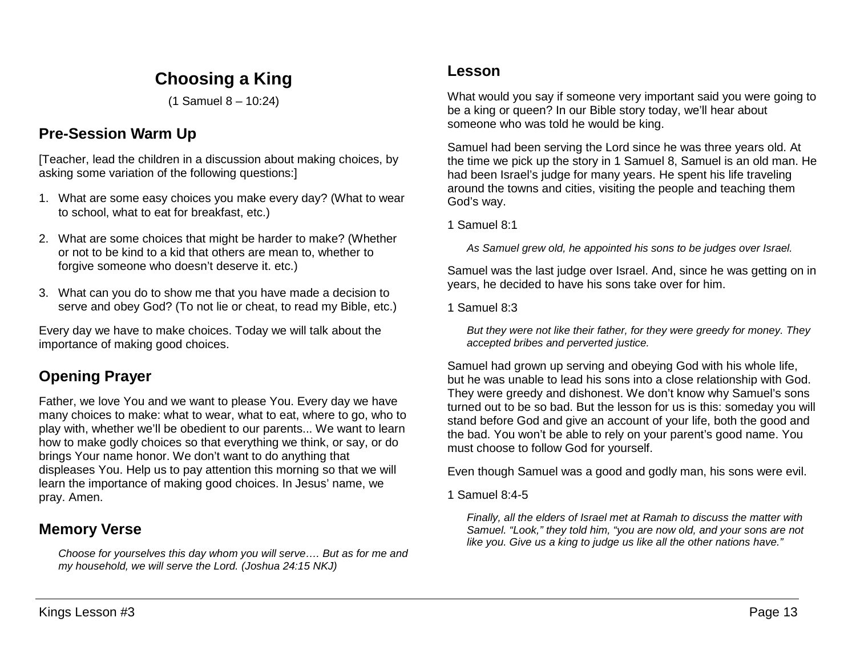# **Choosing a King**

(1 Samuel 8 – 10:24)

## **Pre-Session Warm Up**

[Teacher, lead the children in a discussion about making choices, by asking some variation of the following questions:]

- 1. What are some easy choices you make every day? (What to wear to school, what to eat for breakfast, etc.)
- 2. What are some choices that might be harder to make? (Whether or not to be kind to a kid that others are mean to, whether to forgive someone who doesn't deserve it. etc.)
- 3. What can you do to show me that you have made a decision to serve and obey God? (To not lie or cheat, to read my Bible, etc.)

Every day we have to make choices. Today we will talk about the importance of making good choices.

## **Opening Prayer**

Father, we love You and we want to please You. Every day we have many choices to make: what to wear, what to eat, where to go, who to play with, whether we'll be obedient to our parents... We want to learn how to make godly choices so that everything we think, or say, or do brings Your name honor. We don't want to do anything that displeases You. Help us to pay attention this morning so that we will learn the importance of making good choices. In Jesus' name, we pray. Amen.

## **Memory Verse**

*Choose for yourselves this day whom you will serve…. But as for me and my household, we will serve the Lord. (Joshua 24:15 NKJ)*

## **Lesson**

What would you say if someone very important said you were going to be a king or queen? In our Bible story today, we'll hear about someone who was told he would be king.

Samuel had been serving the Lord since he was three years old. At the time we pick up the story in 1 Samuel 8, Samuel is an old man. He had been Israel's judge for many years. He spent his life traveling around the towns and cities, visiting the people and teaching them God's way.

#### 1 Samuel 8:1

*As Samuel grew old, he appointed his sons to be judges over Israel.*

Samuel was the last judge over Israel. And, since he was getting on in years, he decided to have his sons take over for him.

1 Samuel 8:3

*But they were not like their father, for they were greedy for money. They accepted bribes and perverted justice.* 

Samuel had grown up serving and obeying God with his whole life, but he was unable to lead his sons into a close relationship with God. They were greedy and dishonest. We don't know why Samuel's sons turned out to be so bad. But the lesson for us is this: someday you will stand before God and give an account of your life, both the good and the bad. You won't be able to rely on your parent's good name. You must choose to follow God for yourself.

Even though Samuel was a good and godly man, his sons were evil.

1 Samuel 8:4-5

*Finally, all the elders of Israel met at Ramah to discuss the matter with Samuel. "Look," they told him, "you are now old, and your sons are not like you. Give us a king to judge us like all the other nations have."*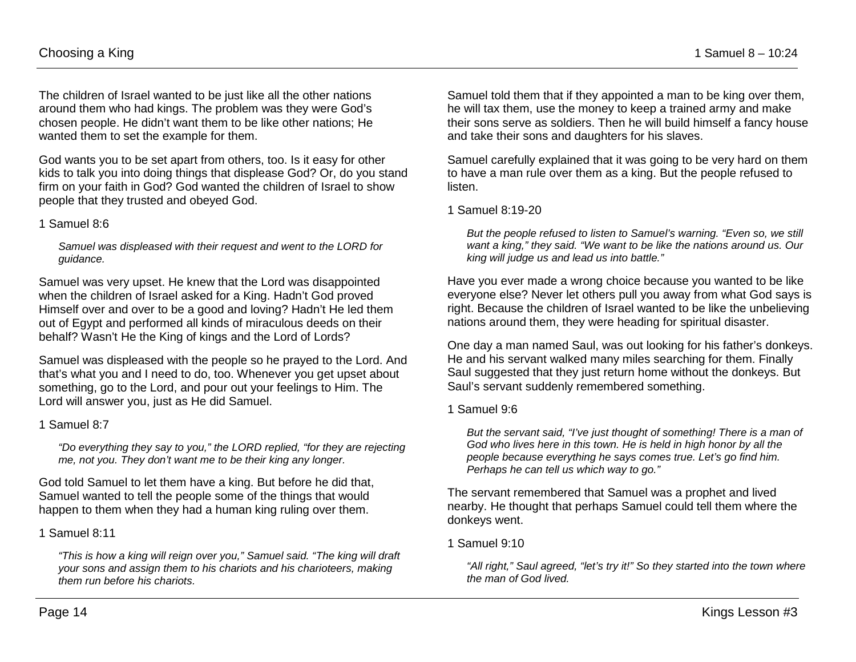The children of Israel wanted to be just like all the other nations around them who had kings. The problem was they were God's chosen people. He didn't want them to be like other nations; He wanted them to set the example for them.

God wants you to be set apart from others, too. Is it easy for other kids to talk you into doing things that displease God? Or, do you stand firm on your faith in God? God wanted the children of Israel to show people that they trusted and obeyed God.

#### 1 Samuel 8:6

*Samuel was displeased with their request and went to the LORD for guidance.*

Samuel was very upset. He knew that the Lord was disappointed when the children of Israel asked for a King. Hadn't God proved Himself over and over to be a good and loving? Hadn't He led them out of Egypt and performed all kinds of miraculous deeds on their behalf? Wasn't He the King of kings and the Lord of Lords?

Samuel was displeased with the people so he prayed to the Lord. And that's what you and I need to do, too. Whenever you get upset about something, go to the Lord, and pour out your feelings to Him. The Lord will answer you, just as He did Samuel.

#### 1 Samuel 8:7

*"Do everything they say to you," the LORD replied, "for they are rejecting me, not you. They don't want me to be their king any longer.* 

God told Samuel to let them have a king. But before he did that, Samuel wanted to tell the people some of the things that would happen to them when they had a human king ruling over them.

#### 1 Samuel 8:11

*"This is how a king will reign over you," Samuel said. "The king will draft your sons and assign them to his chariots and his charioteers, making them run before his chariots.* 

Samuel told them that if they appointed a man to be king over them, he will tax them, use the money to keep a trained army and make their sons serve as soldiers. Then he will build himself a fancy house and take their sons and daughters for his slaves.

Samuel carefully explained that it was going to be very hard on them to have a man rule over them as a king. But the people refused to listen.

#### 1 Samuel 8:19-20

*But the people refused to listen to Samuel's warning. "Even so, we still want a king," they said. "We want to be like the nations around us. Our king will judge us and lead us into battle."* 

Have you ever made a wrong choice because you wanted to be like everyone else? Never let others pull you away from what God says is right. Because the children of Israel wanted to be like the unbelieving nations around them, they were heading for spiritual disaster.

One day a man named Saul, was out looking for his father's donkeys. He and his servant walked many miles searching for them. Finally Saul suggested that they just return home without the donkeys. But Saul's servant suddenly remembered something.

#### 1 Samuel 9:6

*But the servant said, "I've just thought of something! There is a man of God who lives here in this town. He is held in high honor by all the people because everything he says comes true. Let's go find him. Perhaps he can tell us which way to go."*

The servant remembered that Samuel was a prophet and lived nearby. He thought that perhaps Samuel could tell them where the donkeys went.

#### 1 Samuel 9:10

*"All right," Saul agreed, "let's try it!" So they started into the town where the man of God lived.*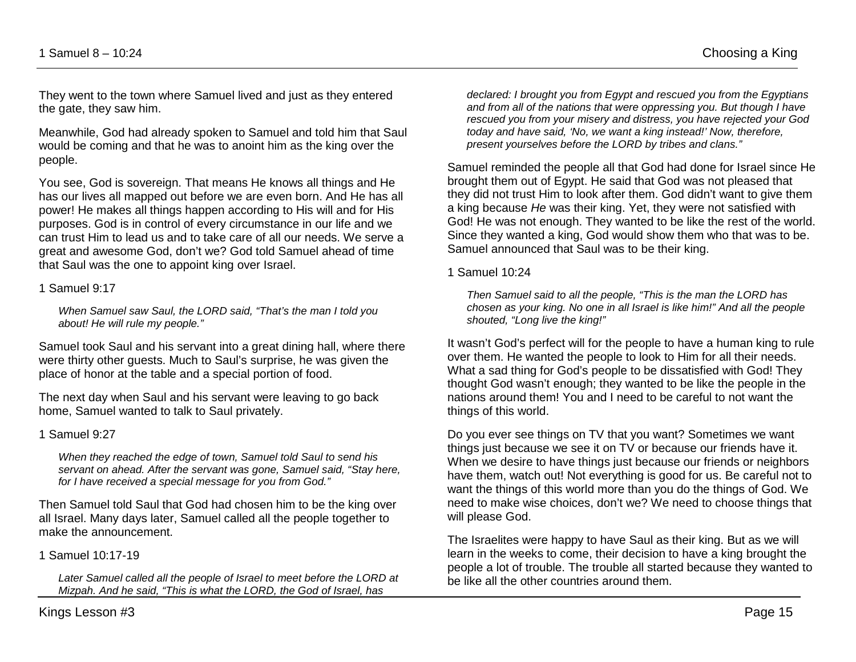They went to the town where Samuel lived and just as they entered the gate, they saw him.

Meanwhile, God had already spoken to Samuel and told him that Saul would be coming and that he was to anoint him as the king over the people.

You see, God is sovereign. That means He knows all things and He has our lives all mapped out before we are even born. And He has all power! He makes all things happen according to His will and for His purposes. God is in control of every circumstance in our life and we can trust Him to lead us and to take care of all our needs. We serve a great and awesome God, don't we? God told Samuel ahead of time that Saul was the one to appoint king over Israel.

#### 1 Samuel 9:17

*When Samuel saw Saul, the LORD said, "That's the man I told you about! He will rule my people."*

Samuel took Saul and his servant into a great dining hall, where there were thirty other guests. Much to Saul's surprise, he was given the place of honor at the table and a special portion of food.

The next day when Saul and his servant were leaving to go back home, Samuel wanted to talk to Saul privately.

#### 1 Samuel 9:27

*When they reached the edge of town, Samuel told Saul to send his servant on ahead. After the servant was gone, Samuel said, "Stay here, for I have received a special message for you from God."*

Then Samuel told Saul that God had chosen him to be the king over all Israel. Many days later, Samuel called all the people together to make the announcement.

1 Samuel 10:17-19

*Later Samuel called all the people of Israel to meet before the LORD at Mizpah. And he said, "This is what the LORD, the God of Israel, has* 

*declared: I brought you from Egypt and rescued you from the Egyptians and from all of the nations that were oppressing you. But though I have rescued you from your misery and distress, you have rejected your God today and have said, 'No, we want a king instead!' Now, therefore, present yourselves before the LORD by tribes and clans."* 

Samuel reminded the people all that God had done for Israel since He brought them out of Egypt. He said that God was not pleased that they did not trust Him to look after them. God didn't want to give them a king because *He* was their king. Yet, they were not satisfied with God! He was not enough. They wanted to be like the rest of the world. Since they wanted a king, God would show them who that was to be. Samuel announced that Saul was to be their king.

#### 1 Samuel 10:24

*Then Samuel said to all the people, "This is the man the LORD has chosen as your king. No one in all Israel is like him!" And all the people shouted, "Long live the king!"*

It wasn't God's perfect will for the people to have a human king to rule over them. He wanted the people to look to Him for all their needs. What a sad thing for God's people to be dissatisfied with God! They thought God wasn't enough; they wanted to be like the people in the nations around them! You and I need to be careful to not want the things of this world.

Do you ever see things on TV that you want? Sometimes we want things just because we see it on TV or because our friends have it. When we desire to have things just because our friends or neighbors have them, watch out! Not everything is good for us. Be careful not to want the things of this world more than you do the things of God. We need to make wise choices, don't we? We need to choose things that will please God.

The Israelites were happy to have Saul as their king. But as we will learn in the weeks to come, their decision to have a king brought the people a lot of trouble. The trouble all started because they wanted to be like all the other countries around them.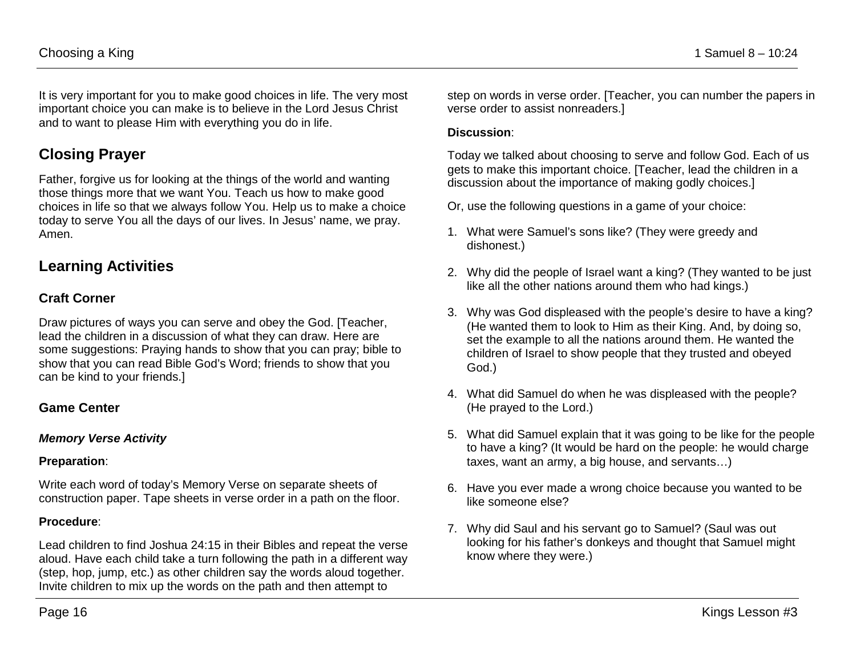It is very important for you to make good choices in life. The very most important choice you can make is to believe in the Lord Jesus Christ and to want to please Him with everything you do in life.

## **Closing Prayer**

Father, forgive us for looking at the things of the world and wanting those things more that we want You. Teach us how to make good choices in life so that we always follow You. Help us to make a choice today to serve You all the days of our lives. In Jesus' name, we pray. Amen.

## **Learning Activities**

## **Craft Corner**

Draw pictures of ways you can serve and obey the God. [Teacher, lead the children in a discussion of what they can draw. Here are some suggestions: Praying hands to show that you can pray; bible to show that you can read Bible God's Word; friends to show that you can be kind to your friends.]

## **Game Center**

### *Memory Verse Activity*

### **Preparation**:

Write each word of today's Memory Verse on separate sheets of construction paper. Tape sheets in verse order in a path on the floor.

### **Procedure**:

Lead children to find Joshua 24:15 in their Bibles and repeat the verse aloud. Have each child take a turn following the path in a different way (step, hop, jump, etc.) as other children say the words aloud together. Invite children to mix up the words on the path and then attempt to

step on words in verse order. [Teacher, you can number the papers in verse order to assist nonreaders.]

### **Discussion**:

Today we talked about choosing to serve and follow God. Each of us gets to make this important choice. [Teacher, lead the children in a discussion about the importance of making godly choices.

Or, use the following questions in a game of your choice:

- 1. What were Samuel's sons like? (They were greedy and dishonest.)
- 2. Why did the people of Israel want a king? (They wanted to be just like all the other nations around them who had kings.)
- 3. Why was God displeased with the people's desire to have a king? (He wanted them to look to Him as their King. And, by doing so, set the example to all the nations around them. He wanted the children of Israel to show people that they trusted and obeyed God.)
- 4. What did Samuel do when he was displeased with the people? (He prayed to the Lord.)
- 5. What did Samuel explain that it was going to be like for the people to have a king? (It would be hard on the people: he would charge taxes, want an army, a big house, and servants…)
- 6. Have you ever made a wrong choice because you wanted to be like someone else?
- 7. Why did Saul and his servant go to Samuel? (Saul was out looking for his father's donkeys and thought that Samuel might know where they were.)